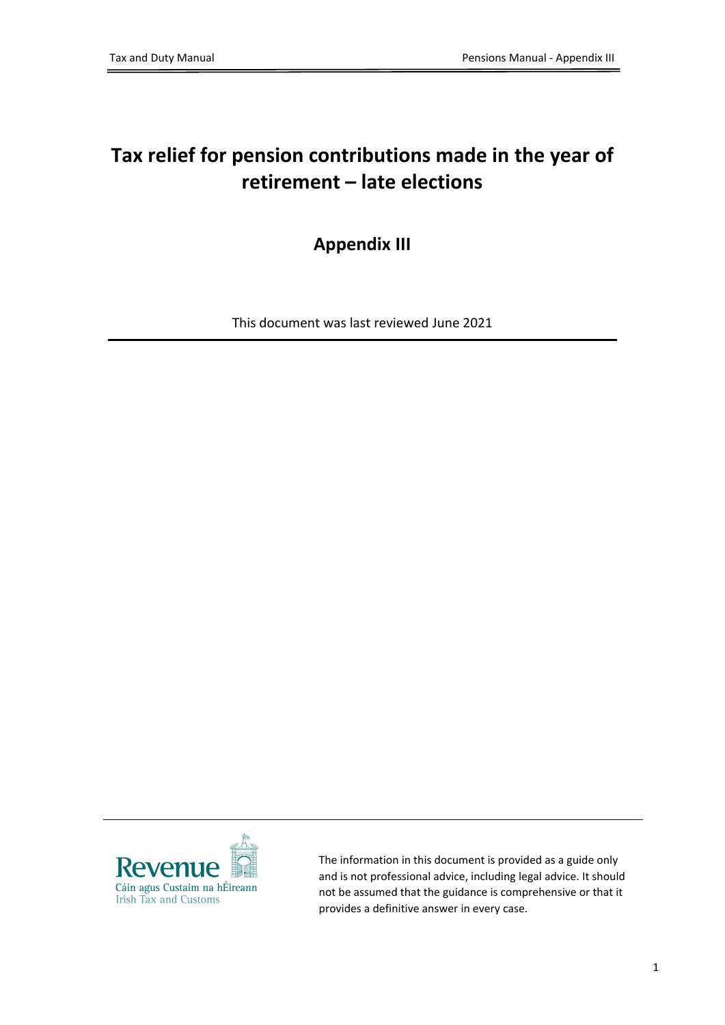## **Tax relief for pension contributions made in the year of retirement – late elections**

## **Appendix III**

This document was last reviewed June 2021



The information in this document is provided as a guide only and is not professional advice, including legal advice. It should not be assumed that the guidance is comprehensive or that it provides a definitive answer in every case.